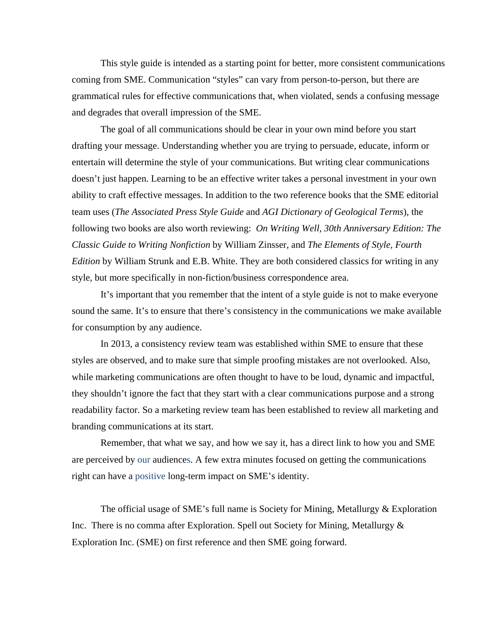This style guide is intended as a starting point for better, more consistent communications coming from SME. Communication "styles" can vary from person-to-person, but there are grammatical rules for effective communications that, when violated, sends a confusing message and degrades that overall impression of the SME.

The goal of all communications should be clear in your own mind before you start drafting your message. Understanding whether you are trying to persuade, educate, inform or entertain will determine the style of your communications. But writing clear communications doesn't just happen. Learning to be an effective writer takes a personal investment in your own ability to craft effective messages. In addition to the two reference books that the SME editorial team uses (*The Associated Press Style Guide* and *AGI Dictionary of Geological Terms*), the following two books are also worth reviewing: *On Writing Well, 30th Anniversary Edition: The Classic Guide to Writing Nonfiction* by William Zinsser, and *The Elements of Style, Fourth Edition* by William Strunk and E.B. White. They are both considered classics for writing in any style, but more specifically in non-fiction/business correspondence area.

It's important that you remember that the intent of a style guide is not to make everyone sound the same. It's to ensure that there's consistency in the communications we make available for consumption by any audience.

In 2013, a consistency review team was established within SME to ensure that these styles are observed, and to make sure that simple proofing mistakes are not overlooked. Also, while marketing communications are often thought to have to be loud, dynamic and impactful, they shouldn't ignore the fact that they start with a clear communications purpose and a strong readability factor. So a marketing review team has been established to review all marketing and branding communications at its start.

Remember, that what we say, and how we say it, has a direct link to how you and SME are perceived by our audiences. A few extra minutes focused on getting the communications right can have a positive long-term impact on SME's identity.

The official usage of SME's full name is Society for Mining, Metallurgy & Exploration Inc. There is no comma after Exploration. Spell out Society for Mining, Metallurgy & Exploration Inc. (SME) on first reference and then SME going forward.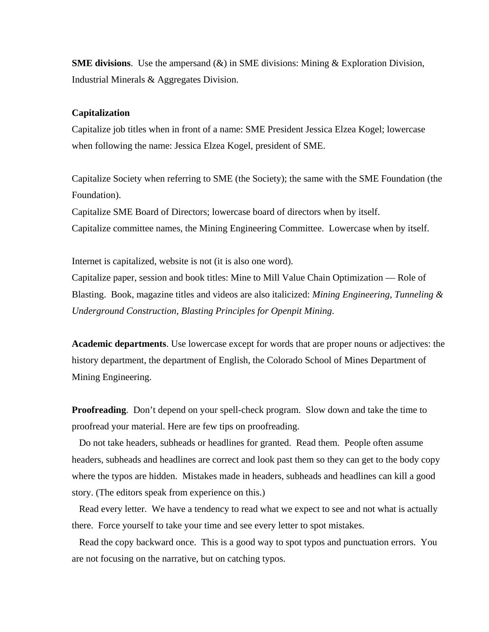**SME divisions**. Use the ampersand  $(\&)$  in SME divisions: Mining  $\&$  Exploration Division, Industrial Minerals & Aggregates Division.

#### **Capitalization**

Capitalize job titles when in front of a name: SME President Jessica Elzea Kogel; lowercase when following the name: Jessica Elzea Kogel, president of SME.

Capitalize Society when referring to SME (the Society); the same with the SME Foundation (the Foundation).

Capitalize SME Board of Directors; lowercase board of directors when by itself. Capitalize committee names, the Mining Engineering Committee. Lowercase when by itself.

Internet is capitalized, website is not (it is also one word).

Capitalize paper, session and book titles: Mine to Mill Value Chain Optimization — Role of Blasting. Book, magazine titles and videos are also italicized: *Mining Engineering*, *Tunneling & Underground Construction*, *Blasting Principles for Openpit Mining*.

**Academic departments**. Use lowercase except for words that are proper nouns or adjectives: the history department, the department of English, the Colorado School of Mines Department of Mining Engineering.

**Proofreading**. Don't depend on your spell-check program. Slow down and take the time to proofread your material. Here are few tips on proofreading.

 Do not take headers, subheads or headlines for granted. Read them. People often assume headers, subheads and headlines are correct and look past them so they can get to the body copy where the typos are hidden. Mistakes made in headers, subheads and headlines can kill a good story. (The editors speak from experience on this.)

 Read every letter. We have a tendency to read what we expect to see and not what is actually there. Force yourself to take your time and see every letter to spot mistakes.

 Read the copy backward once. This is a good way to spot typos and punctuation errors. You are not focusing on the narrative, but on catching typos.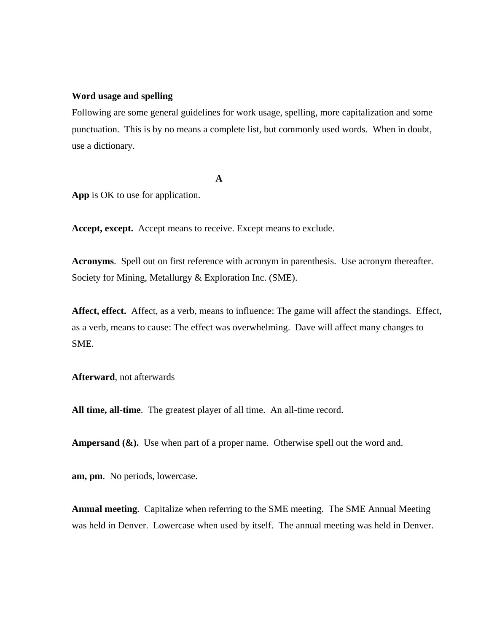### **Word usage and spelling**

Following are some general guidelines for work usage, spelling, more capitalization and some punctuation. This is by no means a complete list, but commonly used words. When in doubt, use a dictionary.

**A** 

**App** is OK to use for application.

**Accept, except.** Accept means to receive. Except means to exclude.

**Acronyms**. Spell out on first reference with acronym in parenthesis. Use acronym thereafter. Society for Mining, Metallurgy & Exploration Inc. (SME).

**Affect, effect.** Affect, as a verb, means to influence: The game will affect the standings. Effect, as a verb, means to cause: The effect was overwhelming. Dave will affect many changes to SME.

**Afterward**, not afterwards

**All time, all-time**. The greatest player of all time. An all-time record.

**Ampersand (&).** Use when part of a proper name. Otherwise spell out the word and.

**am, pm**. No periods, lowercase.

**Annual meeting**. Capitalize when referring to the SME meeting. The SME Annual Meeting was held in Denver. Lowercase when used by itself. The annual meeting was held in Denver.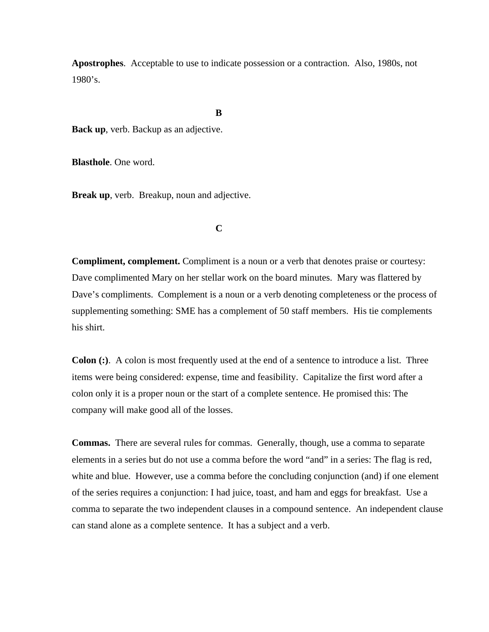**Apostrophes**. Acceptable to use to indicate possession or a contraction. Also, 1980s, not 1980's.

**B** 

**Back up**, verb. Backup as an adjective.

**Blasthole**. One word.

**Break up**, verb. Breakup, noun and adjective.

## **C**

**Compliment, complement.** Compliment is a noun or a verb that denotes praise or courtesy: Dave complimented Mary on her stellar work on the board minutes. Mary was flattered by Dave's compliments. Complement is a noun or a verb denoting completeness or the process of supplementing something: SME has a complement of 50 staff members. His tie complements his shirt.

**Colon (:)**. A colon is most frequently used at the end of a sentence to introduce a list. Three items were being considered: expense, time and feasibility. Capitalize the first word after a colon only it is a proper noun or the start of a complete sentence. He promised this: The company will make good all of the losses.

**Commas.** There are several rules for commas. Generally, though, use a comma to separate elements in a series but do not use a comma before the word "and" in a series: The flag is red, white and blue. However, use a comma before the concluding conjunction (and) if one element of the series requires a conjunction: I had juice, toast, and ham and eggs for breakfast. Use a comma to separate the two independent clauses in a compound sentence. An independent clause can stand alone as a complete sentence. It has a subject and a verb.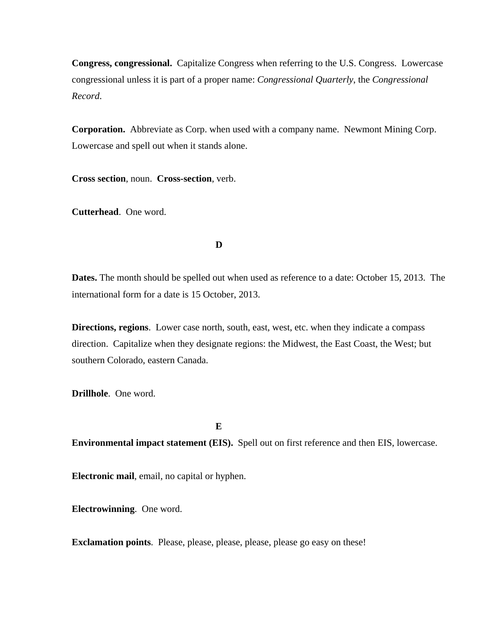**Congress, congressional.** Capitalize Congress when referring to the U.S. Congress. Lowercase congressional unless it is part of a proper name: *Congressional Quarterly*, the *Congressional Record*.

**Corporation.** Abbreviate as Corp. when used with a company name. Newmont Mining Corp. Lowercase and spell out when it stands alone.

**Cross section**, noun. **Cross-section**, verb.

**Cutterhead**. One word.

**D** 

**Dates.** The month should be spelled out when used as reference to a date: October 15, 2013. The international form for a date is 15 October, 2013.

**Directions, regions**. Lower case north, south, east, west, etc. when they indicate a compass direction. Capitalize when they designate regions: the Midwest, the East Coast, the West; but southern Colorado, eastern Canada.

**Drillhole**. One word.

**E** 

**Environmental impact statement (EIS).** Spell out on first reference and then EIS, lowercase.

**Electronic mail**, email, no capital or hyphen.

**Electrowinning**. One word.

**Exclamation points**. Please, please, please, please, please go easy on these!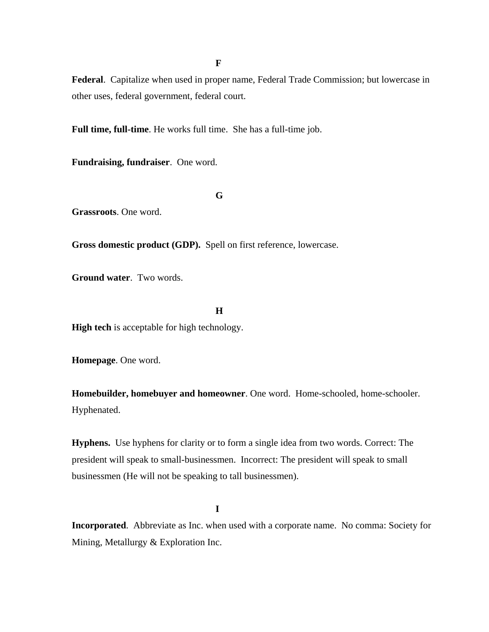**F** 

**Federal**. Capitalize when used in proper name, Federal Trade Commission; but lowercase in other uses, federal government, federal court.

**Full time, full-time**. He works full time. She has a full-time job.

**Fundraising, fundraiser**. One word.

**G** 

**Grassroots**. One word.

**Gross domestic product (GDP).** Spell on first reference, lowercase.

**Ground water**. Two words.

**H** 

**High tech** is acceptable for high technology.

**Homepage**. One word.

**Homebuilder, homebuyer and homeowner**. One word. Home-schooled, home-schooler. Hyphenated.

**Hyphens.** Use hyphens for clarity or to form a single idea from two words. Correct: The president will speak to small-businessmen. Incorrect: The president will speak to small businessmen (He will not be speaking to tall businessmen).

**I** 

**Incorporated**. Abbreviate as Inc. when used with a corporate name. No comma: Society for Mining, Metallurgy & Exploration Inc.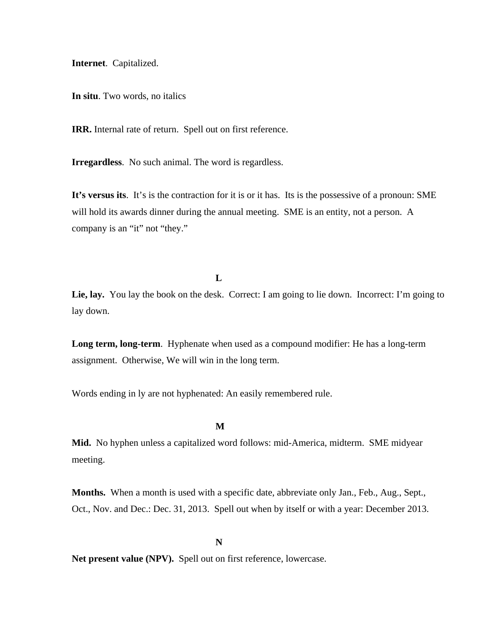**Internet**. Capitalized.

**In situ**. Two words, no italics

**IRR.** Internal rate of return. Spell out on first reference.

**Irregardless**. No such animal. The word is regardless.

**It's versus its**. It's is the contraction for it is or it has. Its is the possessive of a pronoun: SME will hold its awards dinner during the annual meeting. SME is an entity, not a person. A company is an "it" not "they."

**L** 

Lie, lay. You lay the book on the desk. Correct: I am going to lie down. Incorrect: I'm going to lay down.

**Long term, long-term**. Hyphenate when used as a compound modifier: He has a long-term assignment. Otherwise, We will win in the long term.

Words ending in ly are not hyphenated: An easily remembered rule.

**M** 

**Mid.** No hyphen unless a capitalized word follows: mid-America, midterm. SME midyear meeting.

**Months.** When a month is used with a specific date, abbreviate only Jan., Feb., Aug., Sept., Oct., Nov. and Dec.: Dec. 31, 2013. Spell out when by itself or with a year: December 2013.

**N** 

Net present value (NPV). Spell out on first reference, lowercase.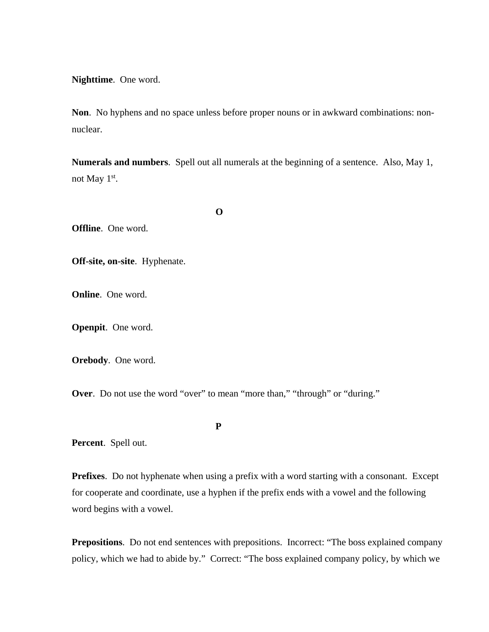**Nighttime**. One word.

**Non**. No hyphens and no space unless before proper nouns or in awkward combinations: nonnuclear.

**Numerals and numbers**. Spell out all numerals at the beginning of a sentence. Also, May 1, not May  $1<sup>st</sup>$ .

**O** 

**Offline**. One word.

**Off-site, on-site**. Hyphenate.

**Online**. One word.

**Openpit**. One word.

**Orebody**. One word.

**Over.** Do not use the word "over" to mean "more than," "through" or "during."

**P** 

**Percent**. Spell out.

**Prefixes**. Do not hyphenate when using a prefix with a word starting with a consonant. Except for cooperate and coordinate, use a hyphen if the prefix ends with a vowel and the following word begins with a vowel.

**Prepositions.** Do not end sentences with prepositions. Incorrect: "The boss explained company policy, which we had to abide by." Correct: "The boss explained company policy, by which we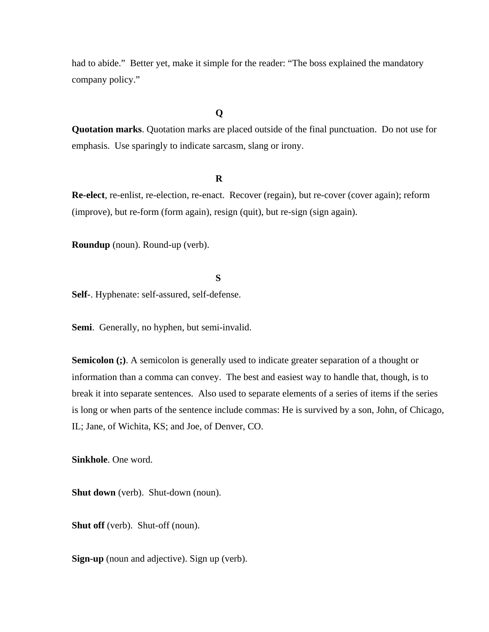had to abide." Better yet, make it simple for the reader: "The boss explained the mandatory company policy."

### **Q**

**Quotation marks**. Quotation marks are placed outside of the final punctuation. Do not use for emphasis. Use sparingly to indicate sarcasm, slang or irony.

#### **R**

**Re-elect**, re-enlist, re-election, re-enact. Recover (regain), but re-cover (cover again); reform (improve), but re-form (form again), resign (quit), but re-sign (sign again).

**Roundup** (noun). Round-up (verb).

**S** 

**Self-**. Hyphenate: self-assured, self-defense.

**Semi**. Generally, no hyphen, but semi-invalid.

**Semicolon (;)**. A semicolon is generally used to indicate greater separation of a thought or information than a comma can convey. The best and easiest way to handle that, though, is to break it into separate sentences. Also used to separate elements of a series of items if the series is long or when parts of the sentence include commas: He is survived by a son, John, of Chicago, IL; Jane, of Wichita, KS; and Joe, of Denver, CO.

**Sinkhole**. One word.

**Shut down** (verb). Shut-down (noun).

**Shut off** (verb). Shut-off (noun).

**Sign-up** (noun and adjective). Sign up (verb).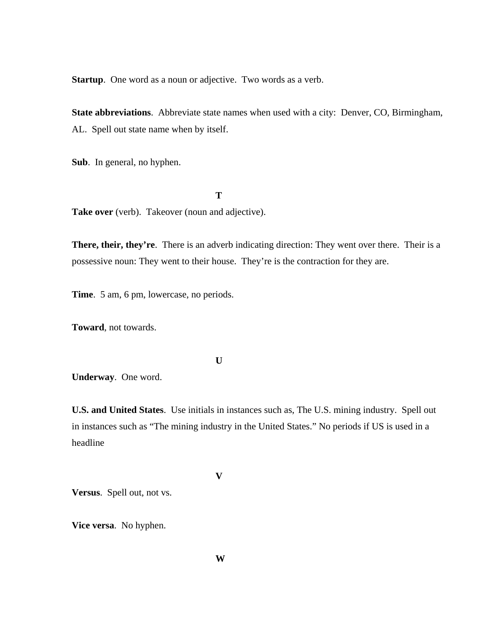**Startup**. One word as a noun or adjective. Two words as a verb.

**State abbreviations**. Abbreviate state names when used with a city: Denver, CO, Birmingham, AL. Spell out state name when by itself.

**Sub**. In general, no hyphen.

Take over (verb). Takeover (noun and adjective).

**There, their, they're**. There is an adverb indicating direction: They went over there. Their is a possessive noun: They went to their house. They're is the contraction for they are.

**Time**. 5 am, 6 pm, lowercase, no periods.

**Toward**, not towards.

**U** 

**T** 

**Underway**. One word.

**U.S. and United States**. Use initials in instances such as, The U.S. mining industry. Spell out in instances such as "The mining industry in the United States." No periods if US is used in a headline

**V** 

**Versus**. Spell out, not vs.

**Vice versa**. No hyphen.